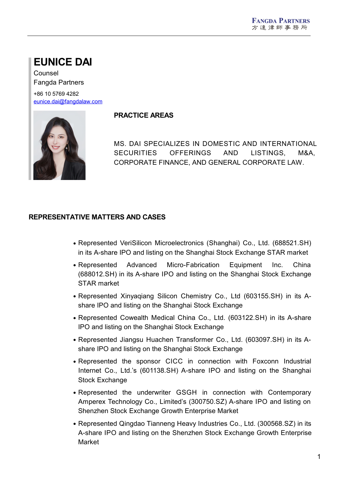# **EUNICE DAI**

Counsel Fangda Partners

+86 10 5769 4282 [eunice.dai@fangdalaw.com](mailto:eunice.dai@fangdalaw.com)



### **PRACTICE AREAS**

MS. DAI SPECIALIZES IN DOMESTIC AND INTERNATIONAL SECURITIES OFFERINGS AND LISTINGS, M&A, CORPORATE FINANCE, AND GENERAL CORPORATE LAW.

## **REPRESENTATIVE MATTERS AND CASES**

- Represented VeriSilicon Microelectronics (Shanghai) Co., Ltd. (688521.SH) in its A-share IPO and listing on the Shanghai Stock Exchange STAR market
- Represented Advanced Micro-Fabrication Equipment Inc. China (688012.SH) in its A-share IPO and listing on the Shanghai Stock Exchange STAR market
- Represented Xinyaqiang Silicon Chemistry Co., Ltd (603155.SH) in its A share IPO and listing on the Shanghai Stock Exchange
- Represented Cowealth Medical China Co., Ltd. (603122.SH) in its A-share IPO and listing on the Shanghai Stock Exchange
- Represented Jiangsu Huachen Transformer Co., Ltd. (603097.SH) in its A share IPO and listing on the Shanghai Stock Exchange
- Represented the sponsor CICC in connection with Foxconn Industrial Internet Co., Ltd.'s (601138.SH) A-share IPO and listing on the Shanghai Stock Exchange
- Represented the underwriter GSGH in connection with Contemporary Amperex Technology Co., Limited's (300750.SZ) A-share IPO and listing on Shenzhen Stock Exchange Growth Enterprise Market
- Represented Qingdao Tianneng Heavy Industries Co., Ltd. (300568.SZ) in its A-share IPO and listing on the Shenzhen Stock Exchange Growth Enterprise Market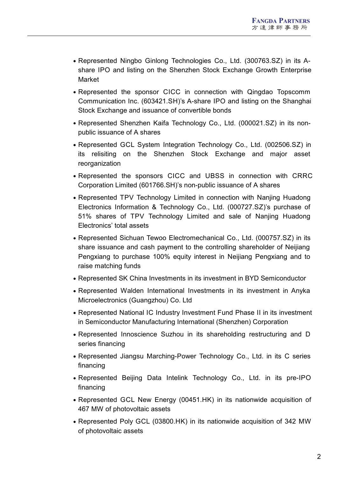- Represented Ningbo Ginlong Technologies Co., Ltd. (300763.SZ) in its A share IPO and listing on the Shenzhen Stock Exchange Growth Enterprise Market
- Represented the sponsor CICC in connection with Qingdao Topscomm Communication Inc. (603421.SH)'s A-share IPO and listing on the Shanghai Stock Exchange and issuance of convertible bonds
- Represented Shenzhen Kaifa Technology Co., Ltd. (000021.SZ) in its non public issuance of A shares
- Represented GCL System Integration Technology Co., Ltd. (002506.SZ) in its relisiting on the Shenzhen Stock Exchange and major asset reorganization
- Represented the sponsors CICC and UBSS in connection with CRRC Corporation Limited (601766.SH)'s non-public issuance of A shares
- Represented TPV Technology Limited in connection with Nanjing Huadong Electronics Information & Technology Co., Ltd. (000727.SZ)'s purchase of 51% shares of TPV Technology Limited and sale of Nanjing Huadong Electronics' total assets
- Represented Sichuan Tewoo Electromechanical Co., Ltd. (000757.SZ) in its share issuance and cash payment to the controlling shareholder of Neijiang Pengxiang to purchase 100% equity interest in Neijiang Pengxiang and to raise matching funds
- Represented SK China Investments in its investment in BYD Semiconductor
- Represented Walden International Investments in its investment in Anyka Microelectronics (Guangzhou) Co. Ltd
- Represented National IC Industry Investment Fund Phase II in its investment in Semiconductor Manufacturing International (Shenzhen) Corporation
- Represented Innoscience Suzhou in its shareholding restructuring and D series financing
- Represented Jiangsu Marching-Power Technology Co., Ltd. in its C series financing
- Represented Beijing Data Intelink Technology Co., Ltd. in its pre-IPO financing
- Represented GCL New Energy (00451.HK) in its nationwide acquisition of 467 MW of photovoltaic assets
- Represented Poly GCL (03800.HK) in its nationwide acquisition of 342 MW of photovoltaic assets